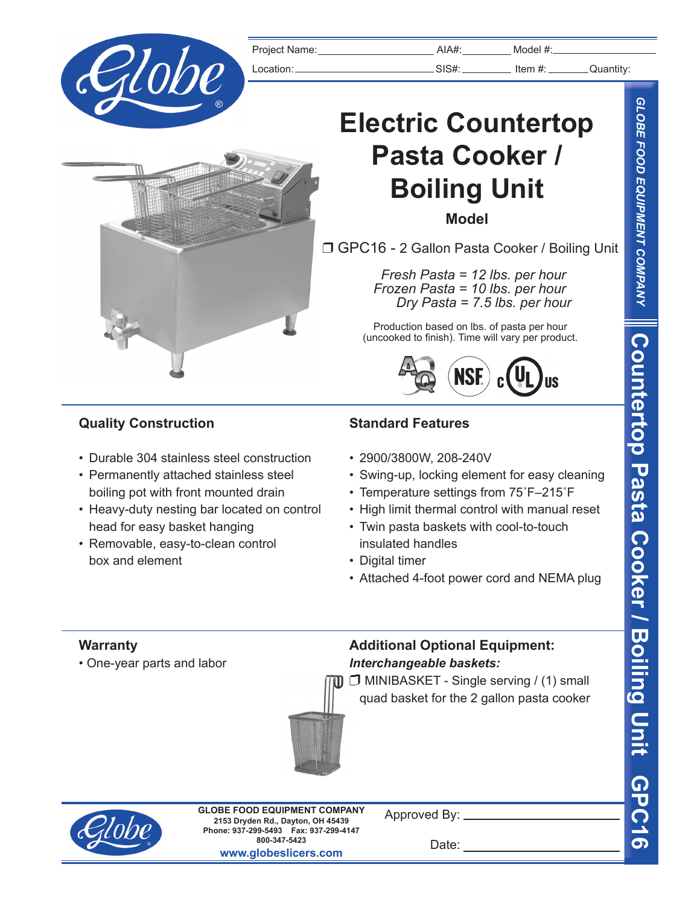

|                                                                                                                                                                                                                                                                      | Project Name: |                                                                                                                                                                                                                                                                                                      | $AIA#$ :    | $Model$ #:                                                                                           |                           |  |  |
|----------------------------------------------------------------------------------------------------------------------------------------------------------------------------------------------------------------------------------------------------------------------|---------------|------------------------------------------------------------------------------------------------------------------------------------------------------------------------------------------------------------------------------------------------------------------------------------------------------|-------------|------------------------------------------------------------------------------------------------------|---------------------------|--|--|
| Złobe                                                                                                                                                                                                                                                                | Location:     |                                                                                                                                                                                                                                                                                                      |             | $\frac{1}{2}$ SIS#: $\frac{1}{2}$ ltem #: Quantity:                                                  |                           |  |  |
|                                                                                                                                                                                                                                                                      |               | <b>Electric Countertop</b>                                                                                                                                                                                                                                                                           |             |                                                                                                      |                           |  |  |
|                                                                                                                                                                                                                                                                      |               |                                                                                                                                                                                                                                                                                                      |             | Pasta Cooker /                                                                                       |                           |  |  |
|                                                                                                                                                                                                                                                                      |               | <b>Boiling Unit</b><br><b>Model</b>                                                                                                                                                                                                                                                                  |             |                                                                                                      |                           |  |  |
|                                                                                                                                                                                                                                                                      |               | □ GPC16 - 2 Gallon Pasta Cooker / Boiling Unit                                                                                                                                                                                                                                                       |             |                                                                                                      |                           |  |  |
|                                                                                                                                                                                                                                                                      |               |                                                                                                                                                                                                                                                                                                      |             | Fresh Pasta = 12 lbs. per hour<br>Frozen Pasta = 10 lbs. per hour<br>Dry Pasta = $7.5$ lbs. per hour |                           |  |  |
|                                                                                                                                                                                                                                                                      |               |                                                                                                                                                                                                                                                                                                      |             | Production based on lbs. of pasta per hour<br>(uncooked to finish). Time will vary per product.      |                           |  |  |
|                                                                                                                                                                                                                                                                      |               |                                                                                                                                                                                                                                                                                                      | <b>NSF.</b> |                                                                                                      |                           |  |  |
| <b>Quality Construction</b>                                                                                                                                                                                                                                          |               | <b>Standard Features</b>                                                                                                                                                                                                                                                                             |             |                                                                                                      |                           |  |  |
| • Durable 304 stainless steel construction<br>• Permanently attached stainless steel<br>boiling pot with front mounted drain<br>• Heavy-duty nesting bar located on control<br>head for easy basket hanging<br>• Removable, easy-to-clean control<br>box and element |               | • 2900/3800W, 208-240V<br>• Swing-up, locking element for easy cleaning<br>• Temperature settings from 75°F-215°F<br>• High limit thermal control with manual reset<br>• Twin pasta baskets with cool-to-touch<br>insulated handles<br>• Digital timer<br>• Attached 4-foot power cord and NEMA plug |             |                                                                                                      |                           |  |  |
| <b>Warranty</b><br>• One-year parts and labor                                                                                                                                                                                                                        |               | <b>Additional Optional Equipment:</b><br>Interchangeable baskets:<br>quad basket for the 2 gallon pasta cooker                                                                                                                                                                                       |             | MINIBASKET - Single serving / (1) small                                                              | $\overline{\mathfrak{c}}$ |  |  |



**2153 Dryden Rd., Dayton, OH 45439 Phone: 937-299-5493 Fax: 937-299-4147 800-347-5423 www.globeslicers.com GLOBE FOOD EQUIPMENT COMPANY**

Approved By:

Date: